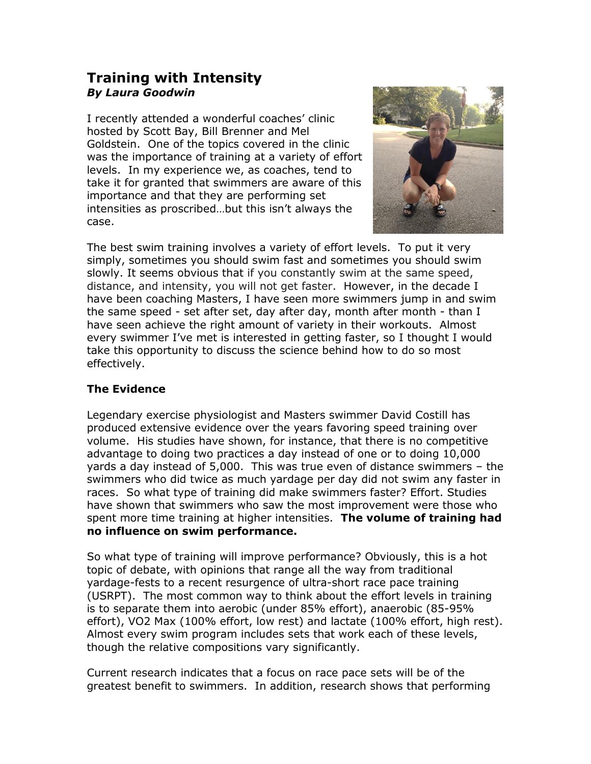## **Training with Intensity** *By Laura Goodwin*

I recently attended a wonderful coaches' clinic hosted by Scott Bay, Bill Brenner and Mel Goldstein. One of the topics covered in the clinic was the importance of training at a variety of effort levels. In my experience we, as coaches, tend to take it for granted that swimmers are aware of this importance and that they are performing set intensities as proscribed…but this isn't always the case.



The best swim training involves a variety of effort levels. To put it very simply, sometimes you should swim fast and sometimes you should swim slowly. It seems obvious that if you constantly swim at the same speed, distance, and intensity, you will not get faster. However, in the decade I have been coaching Masters, I have seen more swimmers jump in and swim the same speed - set after set, day after day, month after month - than I have seen achieve the right amount of variety in their workouts. Almost every swimmer I've met is interested in getting faster, so I thought I would take this opportunity to discuss the science behind how to do so most effectively.

## **The Evidence**

Legendary exercise physiologist and Masters swimmer David Costill has produced extensive evidence over the years favoring speed training over volume. His studies have shown, for instance, that there is no competitive advantage to doing two practices a day instead of one or to doing 10,000 yards a day instead of 5,000. This was true even of distance swimmers – the swimmers who did twice as much yardage per day did not swim any faster in races. So what type of training did make swimmers faster? Effort. Studies have shown that swimmers who saw the most improvement were those who spent more time training at higher intensities. **The volume of training had no influence on swim performance.**

So what type of training will improve performance? Obviously, this is a hot topic of debate, with opinions that range all the way from traditional yardage-fests to a recent resurgence of ultra-short race pace training (USRPT). The most common way to think about the effort levels in training is to separate them into aerobic (under 85% effort), anaerobic (85-95% effort), VO2 Max (100% effort, low rest) and lactate (100% effort, high rest). Almost every swim program includes sets that work each of these levels, though the relative compositions vary significantly.

Current research indicates that a focus on race pace sets will be of the greatest benefit to swimmers. In addition, research shows that performing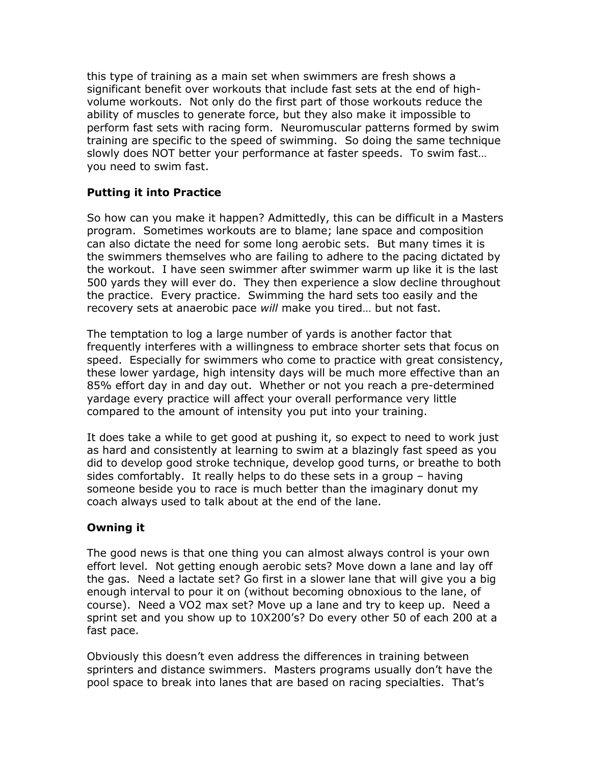this type of training as a main set when swimmers are fresh shows a significant benefit over workouts that include fast sets at the end of highvolume workouts. Not only do the first part of those workouts reduce the ability of muscles to generate force, but they also make it impossible to perform fast sets with racing form. Neuromuscular patterns formed by swim training are specific to the speed of swimming. So doing the same technique slowly does NOT better your performance at faster speeds. To swim fast… you need to swim fast.

## **Putting it into Practice**

So how can you make it happen? Admittedly, this can be difficult in a Masters program. Sometimes workouts are to blame; lane space and composition can also dictate the need for some long aerobic sets. But many times it is the swimmers themselves who are failing to adhere to the pacing dictated by the workout. I have seen swimmer after swimmer warm up like it is the last 500 yards they will ever do. They then experience a slow decline throughout the practice. Every practice. Swimming the hard sets too easily and the recovery sets at anaerobic pace *will* make you tired… but not fast.

The temptation to log a large number of yards is another factor that frequently interferes with a willingness to embrace shorter sets that focus on speed. Especially for swimmers who come to practice with great consistency, these lower yardage, high intensity days will be much more effective than an 85% effort day in and day out. Whether or not you reach a pre-determined yardage every practice will affect your overall performance very little compared to the amount of intensity you put into your training.

It does take a while to get good at pushing it, so expect to need to work just as hard and consistently at learning to swim at a blazingly fast speed as you did to develop good stroke technique, develop good turns, or breathe to both sides comfortably. It really helps to do these sets in a group – having someone beside you to race is much better than the imaginary donut my coach always used to talk about at the end of the lane.

## **Owning it**

The good news is that one thing you can almost always control is your own effort level. Not getting enough aerobic sets? Move down a lane and lay off the gas. Need a lactate set? Go first in a slower lane that will give you a big enough interval to pour it on (without becoming obnoxious to the lane, of course). Need a VO2 max set? Move up a lane and try to keep up. Need a sprint set and you show up to 10X200's? Do every other 50 of each 200 at a fast pace.

Obviously this doesn't even address the differences in training between sprinters and distance swimmers. Masters programs usually don't have the pool space to break into lanes that are based on racing specialties. That's